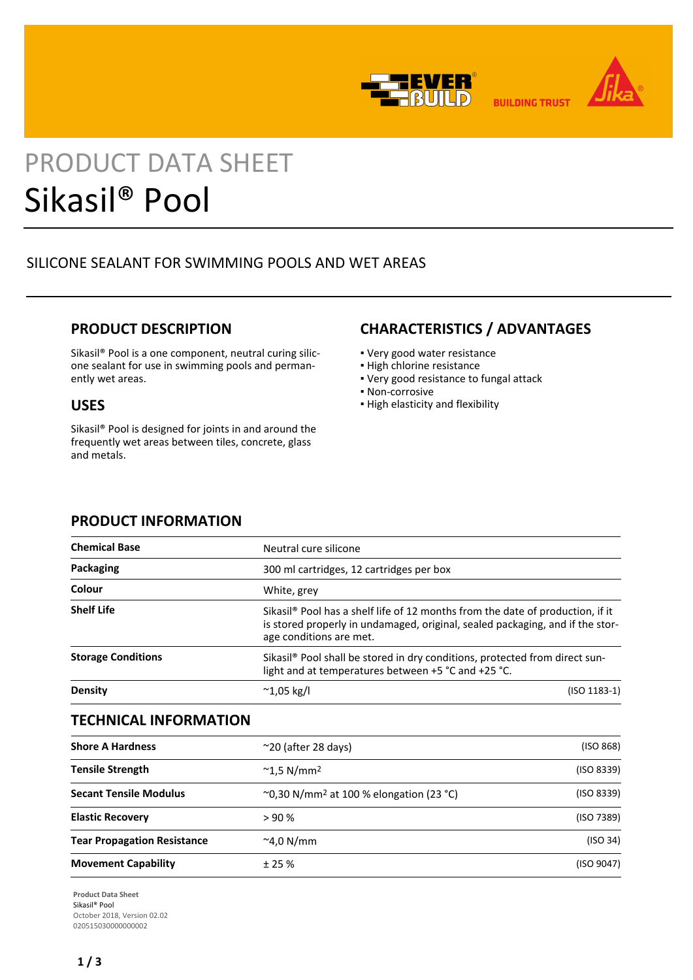



**BUILDING TRUST** 

# PRODUCT DATA SHEET Sikasil® Pool

# SILICONE SEALANT FOR SWIMMING POOLS AND WET AREAS

## **PRODUCT DESCRIPTION**

Sikasil® Pool is a one component, neutral curing silicone sealant for use in swimming pools and permanently wet areas.

## **USES**

Sikasil® Pool is designed for joints in and around the frequently wet areas between tiles, concrete, glass and metals.

## **CHARACTERISTICS / ADVANTAGES**

- Very good water resistance
- **.** High chlorine resistance
- Very good resistance to fungal attack
- Non-corrosive
- High elasticity and flexibility

| <b>Chemical Base</b>      | Neutral cure silicone                               |                                                                                                                                                                             |  |  |
|---------------------------|-----------------------------------------------------|-----------------------------------------------------------------------------------------------------------------------------------------------------------------------------|--|--|
| Packaging                 | 300 ml cartridges, 12 cartridges per box            |                                                                                                                                                                             |  |  |
| Colour                    | White, grey                                         |                                                                                                                                                                             |  |  |
| <b>Shelf Life</b>         | age conditions are met.                             | Sikasil <sup>®</sup> Pool has a shelf life of 12 months from the date of production, if it<br>is stored properly in undamaged, original, sealed packaging, and if the stor- |  |  |
| <b>Storage Conditions</b> | light and at temperatures between +5 °C and +25 °C. | Sikasil <sup>®</sup> Pool shall be stored in dry conditions, protected from direct sun-                                                                                     |  |  |
| <b>Density</b>            | $^{\sim}$ 1,05 kg/l                                 | $(ISO 1183-1)$                                                                                                                                                              |  |  |

# **PRODUCT INFORMATION**

## **TECHNICAL INFORMATION**

| <b>Shore A Hardness</b>            | $\sim$ 20 (after 28 days)                                               | (ISO 868)                                          |  |
|------------------------------------|-------------------------------------------------------------------------|----------------------------------------------------|--|
| <b>Tensile Strength</b>            | $^{\sim}$ 1,5 N/mm <sup>2</sup>                                         | (ISO 8339)<br>(ISO 8339)<br>(ISO 7389)<br>(ISO 34) |  |
| <b>Secant Tensile Modulus</b>      | $^{\circ}$ 0,30 N/mm <sup>2</sup> at 100 % elongation (23 $^{\circ}$ C) |                                                    |  |
| <b>Elastic Recovery</b>            | > 90%                                                                   |                                                    |  |
| <b>Tear Propagation Resistance</b> | $^{\sim}$ 4,0 N/mm                                                      |                                                    |  |
| <b>Movement Capability</b>         | ± 25%                                                                   |                                                    |  |

**Product Data Sheet** Sikasil® Pool October 2018, Version 02.02 020515030000000002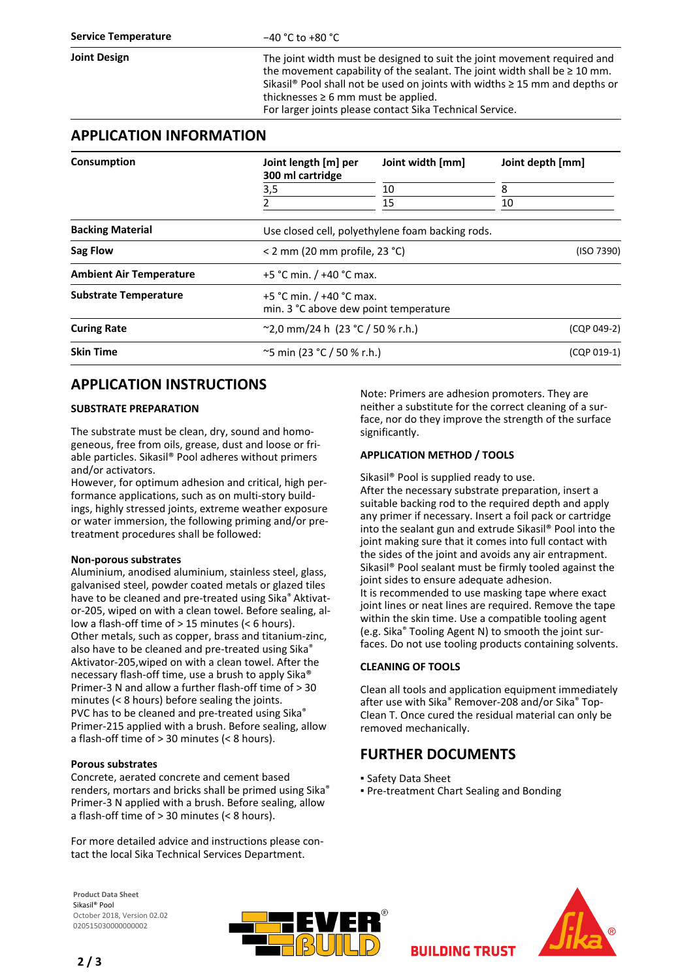**Joint Design** The joint width must be designed to suit the joint movement required and the movement capability of the sealant. The joint width shall be  $\geq 10$  mm. Sikasil<sup>®</sup> Pool shall not be used on joints with widths  $\geq 15$  mm and depths or thicknesses  $\geq 6$  mm must be applied.

For larger joints please contact Sika Technical Service.

### **APPLICATION INFORMATION**

| Consumption                    | Joint length [m] per<br>300 ml cartridge<br>3,5<br>2              | Joint width [mm]<br>10<br>15 | Joint depth [mm]<br>8<br>10 |                         |                                                  |  |            |  |
|--------------------------------|-------------------------------------------------------------------|------------------------------|-----------------------------|-------------------------|--------------------------------------------------|--|------------|--|
|                                |                                                                   |                              |                             | <b>Backing Material</b> | Use closed cell, polyethylene foam backing rods. |  |            |  |
|                                |                                                                   |                              |                             | Sag Flow                | $<$ 2 mm (20 mm profile, 23 °C)                  |  | (ISO 7390) |  |
| <b>Ambient Air Temperature</b> | +5 °C min. $/$ +40 °C max.                                        |                              |                             |                         |                                                  |  |            |  |
| <b>Substrate Temperature</b>   | +5 °C min. / +40 °C max.<br>min. 3 °C above dew point temperature |                              |                             |                         |                                                  |  |            |  |
| <b>Curing Rate</b>             | $^{\circ}$ 2,0 mm/24 h (23 $^{\circ}$ C / 50 % r.h.)              |                              | (CQP 049-2)                 |                         |                                                  |  |            |  |
| <b>Skin Time</b>               | $\sim$ 5 min (23 °C / 50 % r.h.)                                  |                              | (CQP 019-1)                 |                         |                                                  |  |            |  |

## **APPLICATION INSTRUCTIONS**

#### **SUBSTRATE PREPARATION**

The substrate must be clean, dry, sound and homogeneous, free from oils, grease, dust and loose or friable particles. Sikasil® Pool adheres without primers and/or activators.

However, for optimum adhesion and critical, high performance applications, such as on multi-story buildings, highly stressed joints, extreme weather exposure or water immersion, the following priming and/or pretreatment procedures shall be followed:

#### **Non-porous substrates**

Aluminium, anodised aluminium, stainless steel, glass, galvanised steel, powder coated metals or glazed tiles have to be cleaned and pre-treated using Sika® Aktivator-205, wiped on with a clean towel. Before sealing, allow a flash-off time of > 15 minutes (< 6 hours). Other metals, such as copper, brass and titanium-zinc, also have to be cleaned and pre-treated using Sika® Aktivator-205,wiped on with a clean towel. After the necessary flash-off time, use a brush to apply Sika® Primer-3 N and allow a further flash-off time of > 30 minutes (< 8 hours) before sealing the joints. PVC has to be cleaned and pre-treated using Sika® Primer-215 applied with a brush. Before sealing, allow a flash-off time of > 30 minutes (< 8 hours).

#### **Porous substrates**

Concrete, aerated concrete and cement based renders, mortars and bricks shall be primed using Sika® Primer-3 N applied with a brush. Before sealing, allow a flash-off time of > 30 minutes (< 8 hours).

For more detailed advice and instructions please contact the local Sika Technical Services Department.

Note: Primers are adhesion promoters. They are neither a substitute for the correct cleaning of a surface, nor do they improve the strength of the surface significantly.

#### **APPLICATION METHOD / TOOLS**

Sikasil® Pool is supplied ready to use. After the necessary substrate preparation, insert a suitable backing rod to the required depth and apply any primer if necessary. Insert a foil pack or cartridge into the sealant gun and extrude Sikasil® Pool into the joint making sure that it comes into full contact with the sides of the joint and avoids any air entrapment. Sikasil® Pool sealant must be firmly tooled against the joint sides to ensure adequate adhesion. It is recommended to use masking tape where exact joint lines or neat lines are required. Remove the tape within the skin time. Use a compatible tooling agent (e.g. Sika® Tooling Agent N) to smooth the joint surfaces. Do not use tooling products containing solvents.

#### **CLEANING OF TOOLS**

Clean all tools and application equipment immediately after use with Sika® Remover-208 and/or Sika® Top-Clean T. Once cured the residual material can only be removed mechanically.

## **FURTHER DOCUMENTS**

- Safety Data Sheet
- Pre-treatment Chart Sealing and Bonding

**BUILDING TRUST** 

**Product Data Sheet** Sikasil® Pool October 2018, Version 02.02 020515030000000002